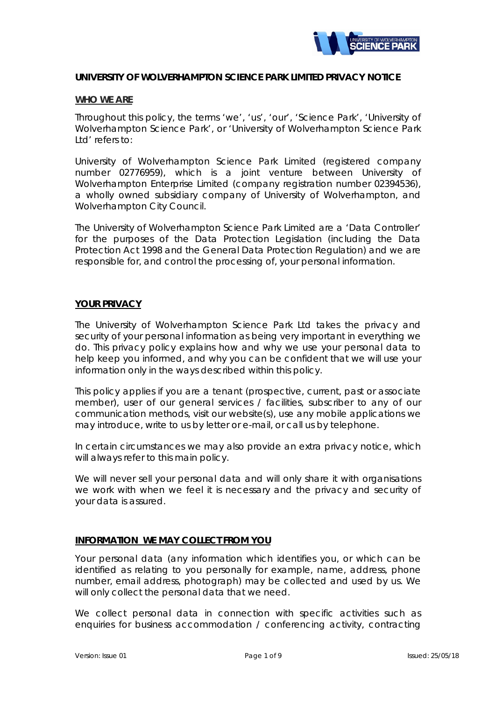

### **UNIVERSITY OF WOLVERHAMPTON SCIENCE PARK LIMITED PRIVACY NOTICE**

#### **WHO WE ARE**

Throughout this policy, the terms 'we', 'us', 'our', 'Science Park', 'University of Wolverhampton Science Park', or 'University of Wolverhampton Science Park Ltd' refers to:

University of Wolverhampton Science Park Limited (registered company number 02776959), which is a joint venture between University of Wolverhampton Enterprise Limited (company registration number 02394536), a wholly owned subsidiary company of University of Wolverhampton, and Wolverhampton City Council.

The University of Wolverhampton Science Park Limited are a 'Data Controller' for the purposes of the Data Protection Legislation (including the Data Protection Act 1998 and the General Data Protection Regulation) and we are responsible for, and control the processing of, your personal information.

## **YOUR PRIVACY**

The University of Wolverhampton Science Park Ltd takes the privacy and security of your personal information as being very important in everything we do. This privacy policy explains how and why we use your personal data to help keep you informed, and why you can be confident that we will use your information only in the ways described within this policy.

This policy applies if you are a tenant (prospective, current, past or associate member), user of our general services / facilities, subscriber to any of our communication methods, visit our website(s), use any mobile applications we may introduce, write to us by letter or e-mail, or call us by telephone.

In certain circumstances we may also provide an extra privacy notice, which will always refer to this main policy.

We will never sell your personal data and will only share it with organisations we work with when we feel it is necessary and the privacy and security of your data is assured.

## **INFORMATION WE MAY COLLECT FROM YOU**

Your personal data (any information which identifies you, or which can be identified as relating to you personally for example, name, address, phone number, email address, photograph) may be collected and used by us. We will only collect the personal data that we need.

We collect personal data in connection with specific activities such as enquiries for business accommodation / conferencing activity, contracting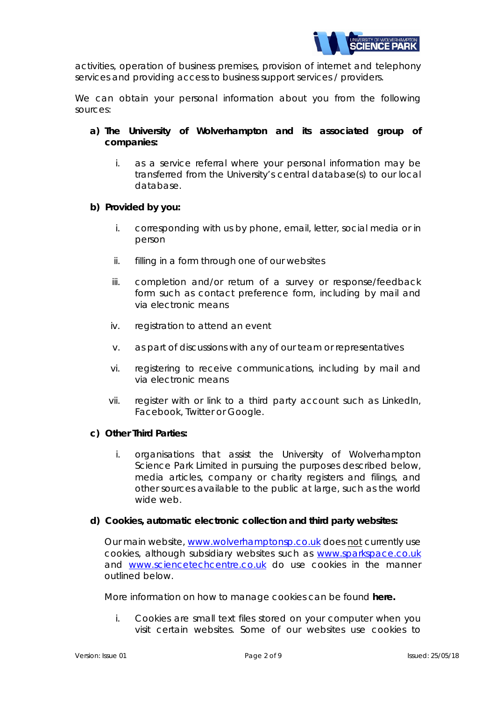

activities, operation of business premises, provision of internet and telephony services and providing access to business support services / providers.

We can obtain your personal information about you from the following sources:

- **a) The University of Wolverhampton and its associated group of companies:**
	- i. as a service referral where your personal information may be transferred from the University's central database(s) to our local database.

### **b) Provided by you:**

- i. corresponding with us by phone, email, letter, social media or in person
- ii. filling in a form through one of our websites
- iii. completion and/or return of a survey or response/feedback form such as contact preference form, including by mail and via electronic means
- iv. registration to attend an event
- v. as part of discussions with any of our team or representatives
- vi. registering to receive communications, including by mail and via electronic means
- vii. register with or link to a third party account such as LinkedIn, Facebook, Twitter or Google.

#### **c) Other Third Parties:**

i. organisations that assist the University of Wolverhampton Science Park Limited in pursuing the purposes described below, media articles, company or charity registers and filings, and other sources available to the public at large, such as the world wide web.

#### **d) Cookies, automatic electronic collection and third party websites:**

Our main website, [www.wolverhamptonsp.co.uk](http://www.wolverhamptonsp.co.uk/) does not currently use cookies, although subsidiary websites such as [www.sparkspace.co.uk](http://www.sparkspace.co.uk/) and [www.sciencetechcentre.co.uk](http://www.sciencetechcentre.co.uk/) do use cookies in the manner outlined below.

More information on how to manage cookies can be found **[here.](https://www.wlv.ac.uk/about-us/governance/legal-information/cookies/)**

i. Cookies are small text files stored on your computer when you visit certain websites. Some of our websites use cookies to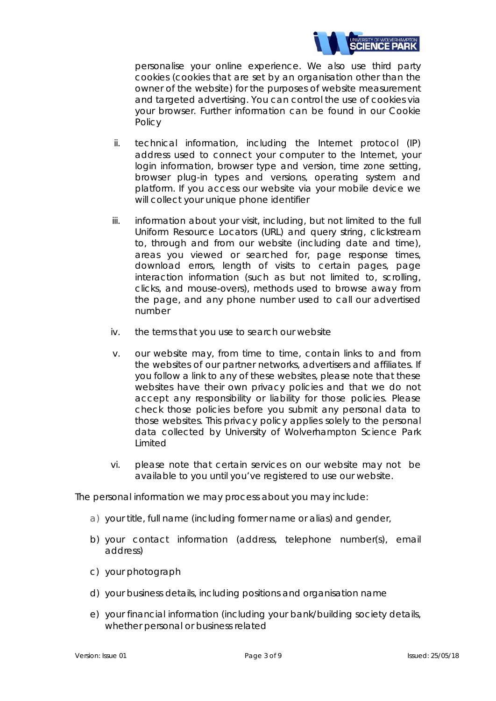

personalise your online experience. We also use third party cookies (cookies that are set by an organisation other than the owner of the website) for the purposes of website measurement and targeted advertising. You can control the use of cookies via your browser. Further information can be found in our Cookie Policy

- ii. technical information, including the Internet protocol (IP) address used to connect your computer to the Internet, your login information, browser type and version, time zone setting, browser plug-in types and versions, operating system and platform. If you access our website via your mobile device we will collect your unique phone identifier
- iii. information about your visit, including, but not limited to the full Uniform Resource Locators (URL) and query string, clickstream to, through and from our website (including date and time), areas you viewed or searched for, page response times, download errors, length of visits to certain pages, page interaction information (such as but not limited to, scrolling, clicks, and mouse-overs), methods used to browse away from the page, and any phone number used to call our advertised number
- iv. the terms that you use to search our website
- v. our website may, from time to time, contain links to and from the websites of our partner networks, advertisers and affiliates. If you follow a link to any of these websites, please note that these websites have their own privacy policies and that we do not accept any responsibility or liability for those policies. Please check those policies before you submit any personal data to those websites. This privacy policy applies solely to the personal data collected by University of Wolverhampton Science Park Limited
- vi. please note that certain services on our website may not be available to you until you've registered to use our website.

The personal information we may process about you may include:

- a) your title, full name (including former name or alias) and gender,
- b) your contact information (address, telephone number(s), email address)
- c) your photograph
- d) your business details, including positions and organisation name
- e) your financial information (including your bank/building society details, whether personal or business related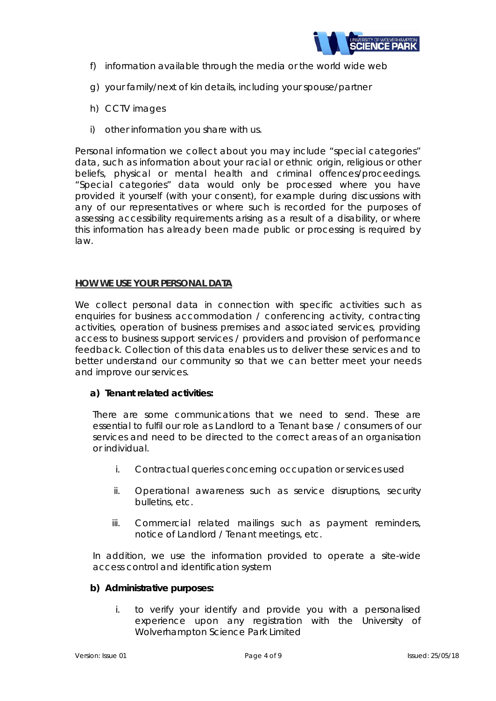

- f) information available through the media or the world wide web
- g) your family/next of kin details, including your spouse/partner
- h) CCTV images
- i) other information you share with us.

Personal information we collect about you may include "special categories" data, such as information about your racial or ethnic origin, religious or other beliefs, physical or mental health and criminal offences/proceedings. "Special categories" data would only be processed where you have provided it yourself (with your consent), for example during discussions with any of our representatives or where such is recorded for the purposes of assessing accessibility requirements arising as a result of a disability, or where this information has already been made public or processing is required by law.

### **HOW WE USE YOUR PERSONAL DATA**

We collect personal data in connection with specific activities such as enquiries for business accommodation / conferencing activity, contracting activities, operation of business premises and associated services, providing access to business support services / providers and provision of performance feedback. Collection of this data enables us to deliver these services and to better understand our community so that we can better meet your needs and improve our services.

## **a) Tenant related activities:**

There are some communications that we need to send. These are essential to fulfil our role as Landlord to a Tenant base / consumers of our services and need to be directed to the correct areas of an organisation or individual.

- i. Contractual queries concerning occupation or services used
- ii. Operational awareness such as service disruptions, security bulletins, etc.
- iii. Commercial related mailings such as payment reminders, notice of Landlord / Tenant meetings, etc.

In addition, we use the information provided to operate a site-wide access control and identification system

#### **b) Administrative purposes:**

i. to verify your identify and provide you with a personalised experience upon any registration with the University of Wolverhampton Science Park Limited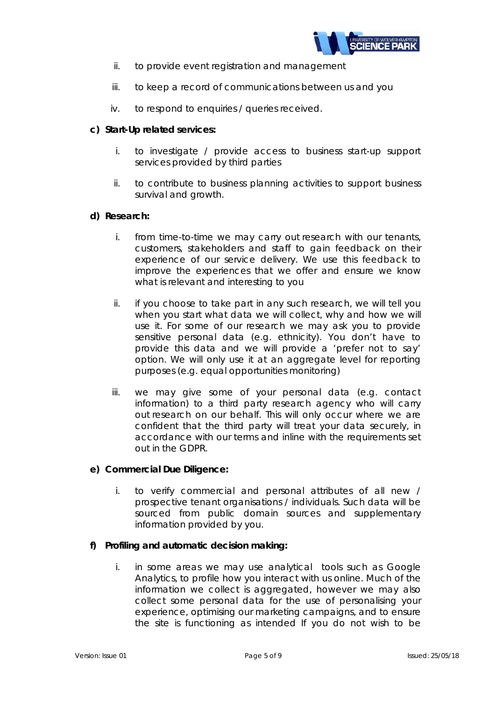

- ii. to provide event registration and management
- iii. to keep a record of communications between us and you
- iv. to respond to enquiries / queries received.

# **c) Start-Up related services:**

- i. to investigate / provide access to business start-up support services provided by third parties
- ii. to contribute to business planning activities to support business survival and growth.

## **d) Research:**

- i. from time-to-time we may carry out research with our tenants, customers, stakeholders and staff to gain feedback on their experience of our service delivery. We use this feedback to improve the experiences that we offer and ensure we know what is relevant and interesting to you
- ii. if you choose to take part in any such research, we will tell you when you start what data we will collect, why and how we will use it. For some of our research we may ask you to provide sensitive personal data (e.g. ethnicity). You don't have to provide this data and we will provide a 'prefer not to say' option. We will only use it at an aggregate level for reporting purposes (e.g. equal opportunities monitoring)
- iii. we may give some of your personal data (e.g. contact information) to a third party research agency who will carry out research on our behalf. This will only occur where we are confident that the third party will treat your data securely, in accordance with our terms and inline with the requirements set out in the GDPR.

## **e) Commercial Due Diligence:**

i. to verify commercial and personal attributes of all new / prospective tenant organisations / individuals. Such data will be sourced from public domain sources and supplementary information provided by you.

## **f) Profiling and automatic decision making:**

i. in some areas we may use analytical tools such as Google Analytics, to profile how you interact with us online. Much of the information we collect is aggregated, however we may also collect some personal data for the use of personalising your experience, optimising our marketing campaigns, and to ensure the site is functioning as intended If you do not wish to be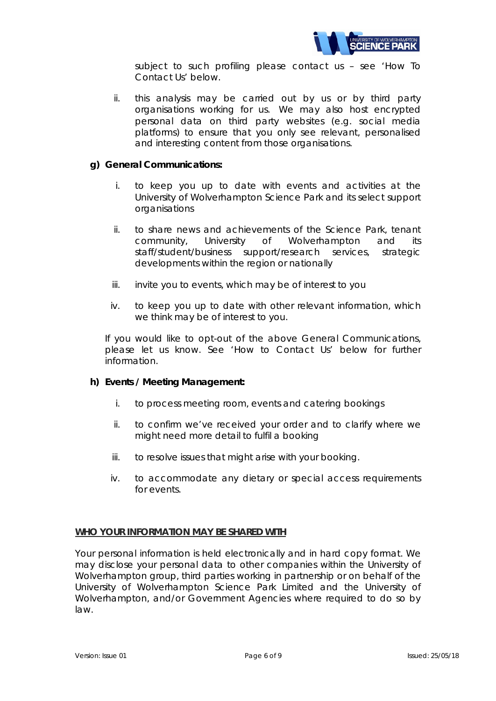

subject to such profiling please contact us – see 'How To Contact Us' below.

ii. this analysis may be carried out by us or by third party organisations working for us. We may also host encrypted personal data on third party websites (e.g. social media platforms) to ensure that you only see relevant, personalised and interesting content from those organisations.

### **g) General Communications:**

- i. to keep you up to date with events and activities at the University of Wolverhampton Science Park and its select support organisations
- ii. to share news and achievements of the Science Park, tenant community, University of Wolverhampton and its staff/student/business support/research services, strategic developments within the region or nationally
- iii. invite you to events, which may be of interest to you
- iv. to keep you up to date with other relevant information, which we think may be of interest to you.

If you would like to opt-out of the above General Communications, please let us know. See 'How to Contact Us' below for further information.

#### **h) Events / Meeting Management:**

- i. to process meeting room, events and catering bookings
- ii. to confirm we've received your order and to clarify where we might need more detail to fulfil a booking
- iii. to resolve issues that might arise with your booking.
- iv. to accommodate any dietary or special access requirements for events.

#### **WHO YOUR INFORMATION MAY BE SHARED WITH**

Your personal information is held electronically and in hard copy format. We may disclose your personal data to other companies within the University of Wolverhampton group, third parties working in partnership or on behalf of the University of Wolverhampton Science Park Limited and the University of Wolverhampton, and/or Government Agencies where required to do so by law.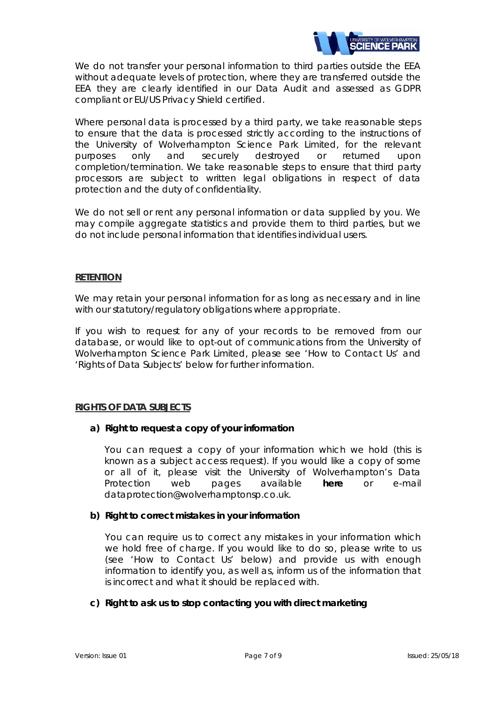

We do not transfer your personal information to third parties outside the EEA without adequate levels of protection, where they are transferred outside the EEA they are clearly identified in our Data Audit and assessed as GDPR compliant or EU/US Privacy Shield certified.

Where personal data is processed by a third party, we take reasonable steps to ensure that the data is processed strictly according to the instructions of the University of Wolverhampton Science Park Limited, for the relevant purposes only and securely destroyed or returned upon completion/termination. We take reasonable steps to ensure that third party processors are subject to written legal obligations in respect of data protection and the duty of confidentiality.

We do not sell or rent any personal information or data supplied by you. We may compile aggregate statistics and provide them to third parties, but we do not include personal information that identifies individual users.

## **RETENTION**

We may retain your personal information for as long as necessary and in line with our statutory/regulatory obligations where appropriate.

If you wish to request for any of your records to be removed from our database, or would like to opt-out of communications from the University of Wolverhampton Science Park Limited, please see 'How to Contact Us' and 'Rights of Data Subjects' below for further information.

## **RIGHTS OF DATA SUBJECTS**

## **a) Right to request a copy of your information**

You can request a copy of your information which we hold (this is known as a subject access request). If you would like a copy of some or all of it, please visit the University of Wolverhampton's Data Protection web pages available **[here](https://www.wlv.ac.uk/about-us/governance/legal-information/corporate-compliance/data-protection/data-protection-subject-access/)** or e-mail dataprotection@wolverhamptonsp.co.uk.

## **b) Right to correct mistakes in your information**

You can require us to correct any mistakes in your information which we hold free of charge. If you would like to do so, please write to us (see 'How to Contact Us' below) and provide us with enough information to identify you, as well as, inform us of the information that is incorrect and what it should be replaced with.

#### **c) Right to ask us to stop contacting you with direct marketing**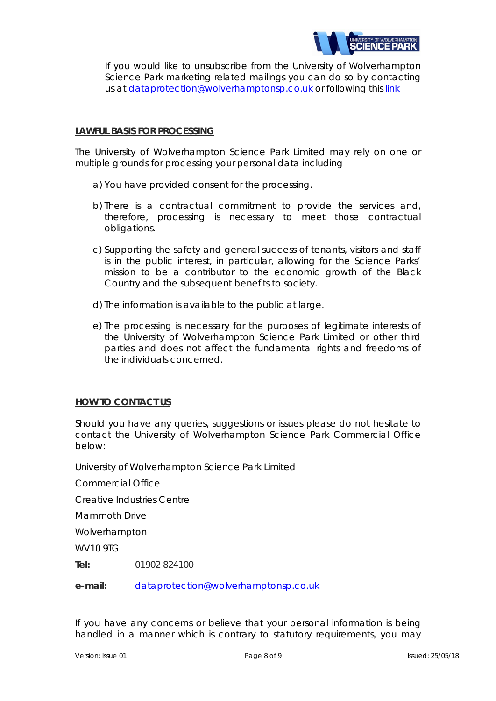

If you would like to unsubscribe from the University of Wolverhampton Science Park marketing related mailings you can do so by contacting us at [dataprotection@wolverhamptonsp.co.uk](mailto:dataprotection@wolverhamptonsp.co.uk) or following this [link](https://www.wolverhamptonsp.co.uk/about-us/useful-contacts/Dataprotectionandprivacy/)

### **LAWFUL BASIS FOR PROCESSING**

The University of Wolverhampton Science Park Limited may rely on one or multiple grounds for processing your personal data including

- a) You have provided consent for the processing.
- b) There is a contractual commitment to provide the services and, therefore, processing is necessary to meet those contractual obligations.
- c) Supporting the safety and general success of tenants, visitors and staff is in the public interest, in particular, allowing for the Science Parks' mission to be a contributor to the economic growth of the Black Country and the subsequent benefits to society.
- d) The information is available to the public at large.
- e) The processing is necessary for the purposes of legitimate interests of the University of Wolverhampton Science Park Limited or other third parties and does not affect the fundamental rights and freedoms of the individuals concerned.

#### **HOW TO CONTACT US**

Should you have any queries, suggestions or issues please do not hesitate to contact the University of Wolverhampton Science Park Commercial Office below:

University of Wolverhampton Science Park Limited

Commercial Office

Creative Industries Centre

Mammoth Drive

Wolverhampton

WV10 9TG

**Tel:** 01902 824100

**e-mail:** [dataprotection@wolverhamptonsp.co.uk](mailto:dataprotection@wolverhamptonsp.co.uk)

If you have any concerns or believe that your personal information is being handled in a manner which is contrary to statutory requirements, you may